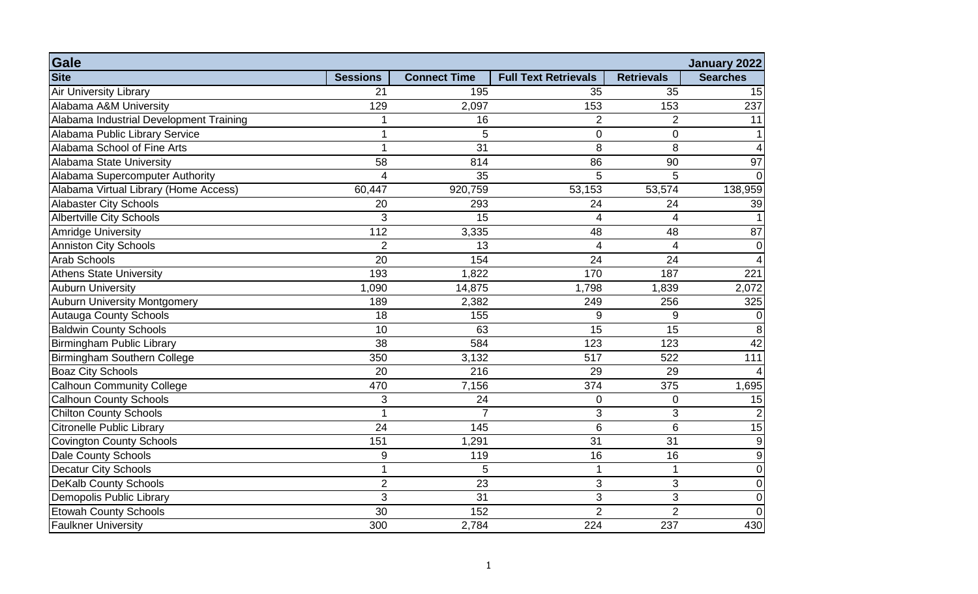| Gale                                    |                 |                     |                             |                   | January 2022     |
|-----------------------------------------|-----------------|---------------------|-----------------------------|-------------------|------------------|
| <b>Site</b>                             | <b>Sessions</b> | <b>Connect Time</b> | <b>Full Text Retrievals</b> | <b>Retrievals</b> | <b>Searches</b>  |
| <b>Air University Library</b>           | 21              | 195                 | 35                          | 35                | 15               |
| Alabama A&M University                  | 129             | 2,097               | 153                         | 153               | 237              |
| Alabama Industrial Development Training |                 | 16                  | $\overline{2}$              | $\overline{2}$    | 11               |
| Alabama Public Library Service          | 1               | 5                   | $\overline{0}$              | $\overline{0}$    | 1                |
| Alabama School of Fine Arts             |                 | 31                  | 8                           | 8                 | $\boldsymbol{4}$ |
| Alabama State University                | 58              | 814                 | $\overline{86}$             | 90                | 97               |
| Alabama Supercomputer Authority         | $\overline{4}$  | 35                  | 5                           | 5                 | $\overline{0}$   |
| Alabama Virtual Library (Home Access)   | 60,447          | 920,759             | 53,153                      | 53,574            | 138,959          |
| <b>Alabaster City Schools</b>           | 20              | 293                 | 24                          | 24                | 39               |
| <b>Albertville City Schools</b>         | 3               | 15                  | 4                           | $\overline{4}$    | $\vert$ 1        |
| <b>Amridge University</b>               | 112             | 3,335               | 48                          | 48                | 87               |
| <b>Anniston City Schools</b>            | $\overline{2}$  | 13                  | 4                           | $\overline{4}$    | $\overline{0}$   |
| <b>Arab Schools</b>                     | 20              | 154                 | 24                          | 24                | $\overline{4}$   |
| <b>Athens State University</b>          | 193             | 1,822               | 170                         | 187               | 221              |
| <b>Auburn University</b>                | 1,090           | 14,875              | 1,798                       | 1,839             | 2,072            |
| <b>Auburn University Montgomery</b>     | 189             | 2,382               | 249                         | 256               | 325              |
| <b>Autauga County Schools</b>           | 18              | 155                 | $9\,$                       | $9\,$             | $\overline{0}$   |
| <b>Baldwin County Schools</b>           | 10              | 63                  | 15                          | 15                | 8                |
| <b>Birmingham Public Library</b>        | 38              | 584                 | 123                         | 123               | 42               |
| <b>Birmingham Southern College</b>      | 350             | 3,132               | 517                         | 522               | 111              |
| <b>Boaz City Schools</b>                | 20              | 216                 | 29                          | 29                | $\boldsymbol{4}$ |
| <b>Calhoun Community College</b>        | 470             | 7,156               | 374                         | 375               | 1,695            |
| <b>Calhoun County Schools</b>           | 3               | 24                  | $\overline{0}$              | $\overline{0}$    | 15               |
| <b>Chilton County Schools</b>           |                 | $\overline{7}$      | 3                           | 3                 | $\vert$ 2        |
| <b>Citronelle Public Library</b>        | 24              | 145                 | 6                           | $6\phantom{1}6$   | 15               |
| <b>Covington County Schools</b>         | 151             | 1,291               | 31                          | 31                | $\overline{9}$   |
| <b>Dale County Schools</b>              | 9               | 119                 | 16                          | 16                | $\overline{9}$   |
| <b>Decatur City Schools</b>             | 1               | 5                   | 1                           | 1                 | $\overline{0}$   |
| <b>DeKalb County Schools</b>            | $\overline{2}$  | $\overline{23}$     | 3                           | 3                 | $\overline{0}$   |
| Demopolis Public Library                | 3               | 31                  | 3                           | 3                 | $\overline{0}$   |
| <b>Etowah County Schools</b>            | 30              | 152                 | $\overline{2}$              | $\overline{2}$    | $\overline{0}$   |
| <b>Faulkner University</b>              | 300             | 2,784               | 224                         | 237               | 430              |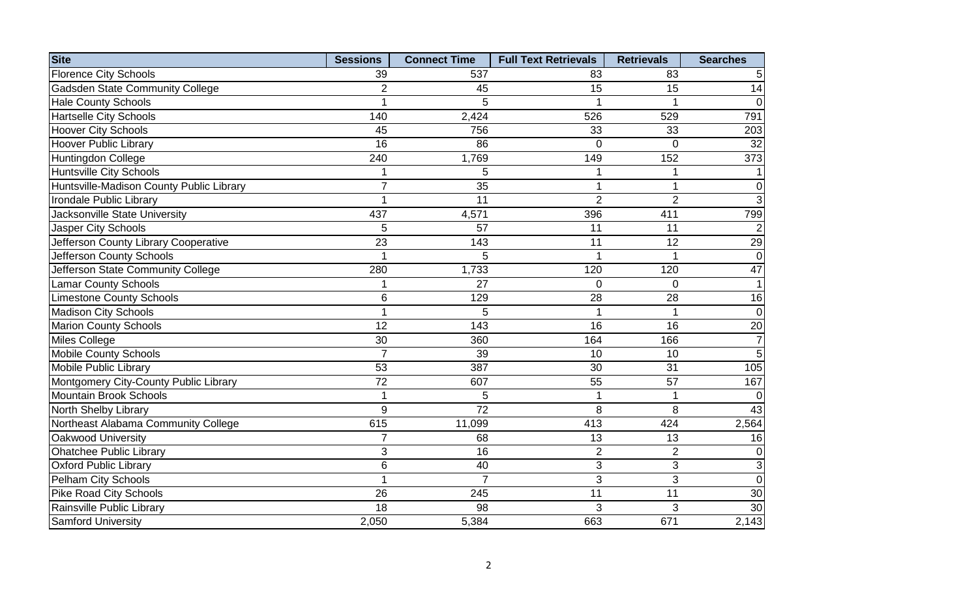| <b>Site</b>                              | <b>Sessions</b> | <b>Connect Time</b> | <b>Full Text Retrievals</b> | <b>Retrievals</b> | <b>Searches</b> |
|------------------------------------------|-----------------|---------------------|-----------------------------|-------------------|-----------------|
| <b>Florence City Schools</b>             | 39              | 537                 | 83                          | 83                | 5 <sup>1</sup>  |
| <b>Gadsden State Community College</b>   | $\overline{2}$  | 45                  | 15                          | 15                | 14              |
| <b>Hale County Schools</b>               | 1               | 5                   |                             |                   | $\overline{0}$  |
| <b>Hartselle City Schools</b>            | 140             | 2,424               | 526                         | 529               | 791             |
| <b>Hoover City Schools</b>               | 45              | 756                 | 33                          | 33                | 203             |
| <b>Hoover Public Library</b>             | 16              | 86                  | $\Omega$                    | $\overline{0}$    | 32              |
| Huntingdon College                       | 240             | 1,769               | 149                         | 152               | 373             |
| <b>Huntsville City Schools</b>           | 1               | 5                   |                             |                   | 1               |
| Huntsville-Madison County Public Library | $\overline{7}$  | 35                  |                             |                   | $\overline{0}$  |
| Irondale Public Library                  |                 | 11                  | $\overline{2}$              | $\overline{2}$    | $\overline{3}$  |
| Jacksonville State University            | 437             | 4,571               | 396                         | 411               | 799             |
| Jasper City Schools                      | 5               | 57                  | 11                          | 11                | $\vert$ 2       |
| Jefferson County Library Cooperative     | 23              | 143                 | 11                          | 12                | 29              |
| Jefferson County Schools                 | 1               | 5                   | 1                           | 1                 | $\overline{0}$  |
| Jefferson State Community College        | 280             | 1,733               | 120                         | 120               | 47              |
| <b>Lamar County Schools</b>              | 1               | 27                  | $\mathbf 0$                 | $\overline{0}$    | 1               |
| <b>Limestone County Schools</b>          | 6               | 129                 | 28                          | 28                | 16              |
| <b>Madison City Schools</b>              |                 | 5                   |                             |                   | $\overline{0}$  |
| <b>Marion County Schools</b>             | 12              | 143                 | $\overline{16}$             | $\overline{16}$   | 20              |
| Miles College                            | 30              | 360                 | 164                         | 166               | $\overline{7}$  |
| <b>Mobile County Schools</b>             | $\overline{7}$  | 39                  | 10                          | 10                | $\overline{5}$  |
| Mobile Public Library                    | 53              | 387                 | 30                          | 31                | 105             |
| Montgomery City-County Public Library    | 72              | 607                 | 55                          | 57                | 167             |
| <b>Mountain Brook Schools</b>            | 1               | 5                   | 1                           | 1                 | $\overline{0}$  |
| North Shelby Library                     | 9               | $\overline{72}$     | 8                           | 8                 | 43              |
| Northeast Alabama Community College      | 615             | 11,099              | 413                         | 424               | 2,564           |
| Oakwood University                       | $\overline{7}$  | 68                  | 13                          | 13                | 16              |
| <b>Ohatchee Public Library</b>           | 3               | 16                  | $\overline{2}$              | $\overline{2}$    | $\overline{0}$  |
| <b>Oxford Public Library</b>             | 6               | 40                  | 3                           | 3                 | $\overline{3}$  |
| Pelham City Schools                      | 1               | $\overline{7}$      | 3                           | 3                 | $\overline{0}$  |
| <b>Pike Road City Schools</b>            | 26              | 245                 | 11                          | 11                | 30              |
| Rainsville Public Library                | 18              | 98                  | 3                           | 3                 | 30              |
| <b>Samford University</b>                | 2,050           | 5,384               | 663                         | 671               | 2,143           |